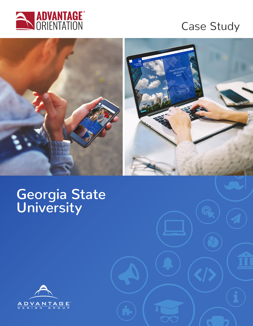

# Case Study



# **Georgia State University**

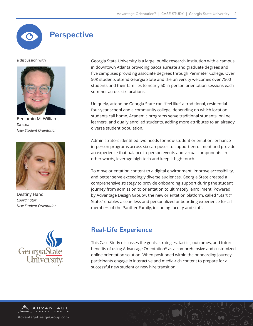# **Perspective**

a discussion with



Benjamin M. Williams *Director New Student Orientation*



Destiny Hand *Coordinator New Student Orientation*



Georgia State University is a large, public research institution with a campus in downtown Atlanta providing baccalaureate and graduate degrees and five campuses providing associate degrees through Perimeter College. Over 50K students attend Georgia State and the university welcomes over 7500 students and their families to nearly 50 in-person orientation sessions each summer across six locations.

Uniquely, attending Georgia State can "feel like" a traditional, residential four-year school and a community college, depending on which location students call home. Academic programs serve traditional students, online learners, and dually enrolled students, adding more attributes to an already diverse student population.

Administrators identified two needs for new student orientation: enhance in-person programs across six campuses to support enrollment and provide an experience that balance in-person events and virtual components. In other words, leverage high tech and keep it high touch.

To move orientation content to a digital environment, improve accessibility, and better serve exceedingly diverse audiences, Georgia State created a comprehensive strategy to provide onboarding support during the student journey from admission to orientation to ultimately, enrollment. Powered by Advantage Design Group®, the new orientation platform, called "Start @ State," enables a seamless and personalized onboarding experience for all members of the Panther Family, including faculty and staff.

#### **Real-Life Experience**

This Case Study discusses the goals, strategies, tactics, outcomes, and future benefits of using Advantage Orientation® as a comprehensive and customized online orientation solution. When positioned within the onboarding journey, participants engage in interactive and media-rich content to prepare for a successful new student or new hire transition.

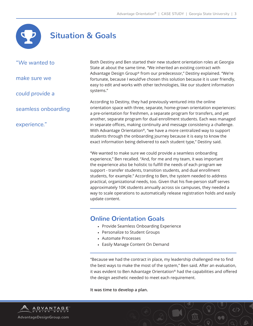

## **Situation & Goals**

*"We wanted to* 

*make sure we* 

*could provide a* 

*seamless onboarding* 

*experience."* 

Both Destiny and Ben started their new student orientation roles at Georgia State at about the same time. "We inherited an existing contract with Advantage Design Group® from our predecessor," Destiny explained. "We're fortunate, because I would've chosen this solution because it is user friendly, easy to edit and works with other technologies, like our student information systems."

According to Destiny, they had previously ventured into the online orientation space with three, separate, home-grown orientation experiences: a pre-orientation for freshmen, a separate program for transfers, and yet another, separate program for dual enrollment students. Each was managed in separate offices, making continuity and message consistency a challenge. With Advantage Orientation®, "we have a more centralized way to support students through the onboarding journey because it is easy to know the exact information being delivered to each student type," Destiny said.

"We wanted to make sure we could provide a seamless onboarding experience," Ben recalled. "And, for me and my team, it was important the experience also be holistic to fulfill the needs of each program we support - transfer students, transition students, and dual enrollment students, for example." According to Ben, the system needed to address practical, organizational needs, too. Given that his five-person staff serves approximately 10K students annually across six campuses, they needed a way to scale operations to automatically release registration holds and easily update content.

#### **Online Orientation Goals**

- Provide Seamless Onboarding Experience
- Personalize to Student Groups
- Automate Processes
- Easily Manage Content On Demand

"Because we had the contract in place, my leadership challenged me to find the best ways to make the most of the system," Ben said. After an evaluation, it was evident to Ben Advantage Orientation® had the capabilities and offered the design aesthetic needed to meet each requirement.

**It was time to develop a plan.**

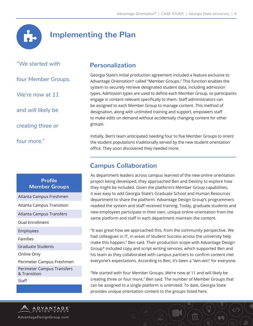

### **Implementing the Plan**

*"We started with* 

*four Member Groups.* 

*We're now at 11*

*and will likely be* 

*creating three or*

*four more."* 

#### **Profile Member Groups**

Atlanta Campus Freshmen

Atlanta Campus Transition

Atlanta Campus Transfers

Dual Enrollment

Employees

Families

Graduate Students

Online Only

Perimeter Campus Freshmen

Perimeter Campus Transfers & Transition Staff

#### **Personalization**

Georgia State's initial production agreement included a feature exclusive to Advantage Orientation® called "Member Groups." This function enables the system to securely retrieve designated student data, including admission types. Admission types are used to define each Member Group, so participants engage in content relevant specifically to them. Staff administrators can be assigned to each Member Group to manage content. This method of designation, along with unlimited training and support, empowers staff to make edits on demand without accidentally changing content for other groups.

Initially, Ben's team anticipated needing four to five Member Groups to orient the student populations traditionally served by the new student orientation office. They soon discovered they needed more.

#### **Campus Collaboration**

As department leaders across campus learned of the new online orientation project being developed, they approached Ben and Destiny to explore how they might be included. Given the platform's Member Group capabilities, it was easy to add Georgia State's Graduate School and Human Resources department to share the platform. Advantage Design Group's programmers readied the system and staff received training. Today, graduate students and new employees participate in their own, unique online orientation from the same platform and staff in each department maintain the content.

"It was great how we approached this, from the community perspective. We had colleagues in IT, in areas of Student Success across the university help make this happen," Ben said. Their production scope with Advantage Design Group® included copy and script writing services, which supported Ben and his team as they collaborated with campus partners to confirm content met everyone's expectations. According to Ben, it's been a "win-win" for everyone.

"We started with four Member Groups. We're now at 11 and will likely be creating three or four more," Ben said. The number of Member Groups that can be assigned to a single platform is unlimited. To date, Georgia State provides unique orientation content to the groups listed here.

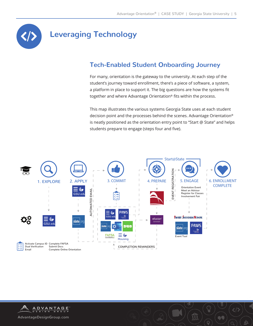

# **Leveraging Technology**

### **Tech-Enabled Student Onboarding Journey**

For many, orientation is the gateway to the university. At each step of the student's journey toward enrollment, there's a piece of software, a system, a platform in place to support it. The big questions are how the systems fit together and where Advantage Orientation® fits within the process.

This map illustrates the various systems Georgia State uses at each student decision point and the processes behind the scenes. Advantage Orientation® is neatly positioned as the orientation entry point to "Start @ State" and helps students prepare to engage (steps four and five).



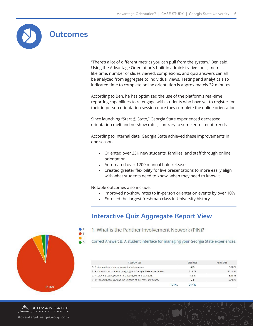

"There's a lot of different metrics you can pull from the system," Ben said. Using the Advantage Orientation's built-in administrative tools, metrics like time, number of slides viewed, completions, and quiz answers can all be analyzed from aggregate to individual views. Testing and analytics also indicated time to complete online orientation is approximately 32 minutes.

According to Ben, he has optimized the use of the platform's real-time reporting capabilities to re-engage with students who have yet to register for their in-person orientation session once they complete the online orientation.

Since launching "Start @ State," Georgia State experienced decreased orientation melt and no-show rates, contrary to some enrollment trends.

According to internal data, Georgia State achieved these improvements in one season:

- Oriented over 25K new students, families, and staff through online orientation
- Automated over 1200 manual hold releases
- Created greater flexibility for live presentations to more easily align with what students need to know, when they need to know it

Notable outcomes also include:

- Improved no-show rates to in-person orientation events by over 10%
- Enrolled the largest freshman class in University history

#### **Interactive Quiz Aggregate Report View**

1. What is the Panther Involvement Network (PIN)?

Correct Answer: B. A student interface for managing your Georgia State experiences.

| <b>RESPONSES</b>                                                    | <b>ENTRIES</b> | <b>PERCENT</b> |
|---------------------------------------------------------------------|----------------|----------------|
| A. A big cat adoption program at the Atlanta zoo.                   | 455            | 1.88 %         |
| B. A student interface for managing your Georgia State experiences. | 21,879         | 90.48 %        |
| C. A software coding club for managing Panther Athletics.           | 1.246          | 5.15 %         |
| D. The team that maintains the uniform of our mascot Pounce.        | 600            | 2.48%          |
| TOTAL                                                               | 24.180         |                |